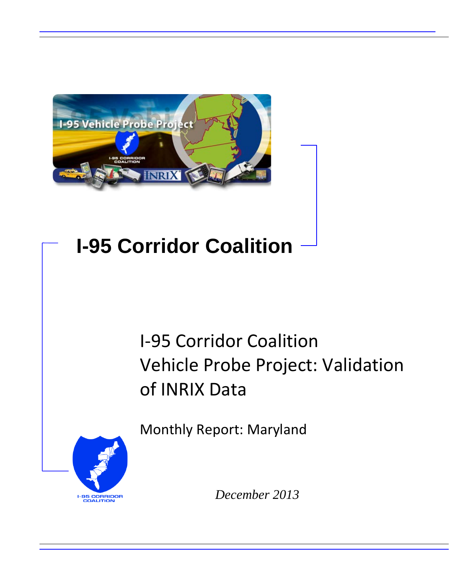

# **I-95 Corridor Coalition**

## I-95 Corridor Coalition Vehicle Probe Project: Validation of INRIX Data

Monthly Report: Maryland



*December 2013*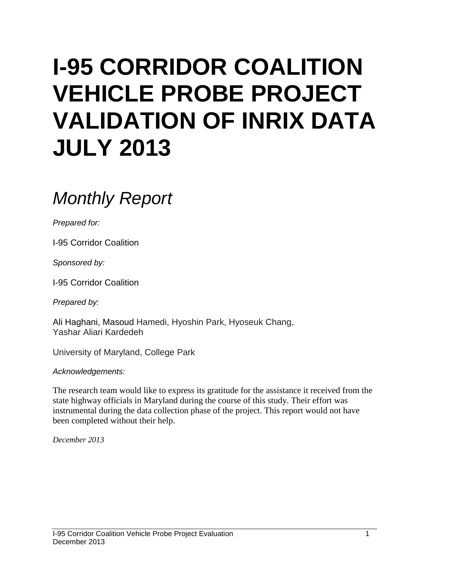# **I-95 CORRIDOR COALITION VEHICLE PROBE PROJECT VALIDATION OF INRIX DATA JULY 2013**

## *Monthly Report*

*Prepared for:*

I-95 Corridor Coalition

*Sponsored by:*

I-95 Corridor Coalition

*Prepared by:*

Ali Haghani, Masoud Hamedi, Hyoshin Park, Hyoseuk Chang, Yashar Aliari Kardedeh

University of Maryland, College Park

*Acknowledgements:*

The research team would like to express its gratitude for the assistance it received from the state highway officials in Maryland during the course of this study. Their effort was instrumental during the data collection phase of the project. This report would not have been completed without their help.

*December 2013*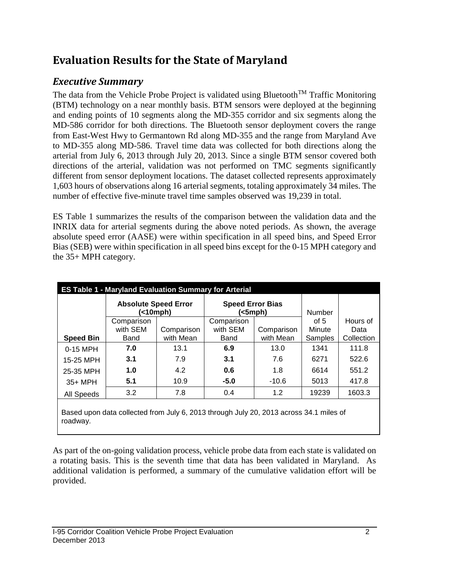### **Evaluation Results for the State of Maryland**

### *Executive Summary*

roadway.

The data from the Vehicle Probe Project is validated using Bluetooth<sup>TM</sup> Traffic Monitoring (BTM) technology on a near monthly basis. BTM sensors were deployed at the beginning and ending points of 10 segments along the MD-355 corridor and six segments along the MD-586 corridor for both directions. The Bluetooth sensor deployment covers the range from East-West Hwy to Germantown Rd along MD-355 and the range from Maryland Ave to MD-355 along MD-586. Travel time data was collected for both directions along the arterial from July 6, 2013 through July 20, 2013. Since a single BTM sensor covered both directions of the arterial, validation was not performed on TMC segments significantly different from sensor deployment locations. The dataset collected represents approximately 1,603 hours of observations along 16 arterial segments, totaling approximately 34 miles. The number of effective five-minute travel time samples observed was 19,239 in total.

ES Table 1 summarizes the results of the comparison between the validation data and the INRIX data for arterial segments during the above noted periods. As shown, the average absolute speed error (AASE) were within specification in all speed bins, and Speed Error Bias (SEB) were within specification in all speed bins except for the 0-15 MPH category and the 35+ MPH category.

|                  | <b>ES Table 1 - Maryland Evaluation Summary for Arterial</b>                           |                         |                         |                         |                   |                    |  |  |  |  |  |
|------------------|----------------------------------------------------------------------------------------|-------------------------|-------------------------|-------------------------|-------------------|--------------------|--|--|--|--|--|
|                  | <b>Absolute Speed Error</b><br>(<10mph)                                                |                         | <b>Speed Error Bias</b> | (<5mph)                 | Number            |                    |  |  |  |  |  |
|                  | Comparison                                                                             |                         | Comparison              |                         | of $5$            | Hours of           |  |  |  |  |  |
| <b>Speed Bin</b> | with SEM<br>Band                                                                       | Comparison<br>with Mean | with SEM<br>Band        | Comparison<br>with Mean | Minute<br>Samples | Data<br>Collection |  |  |  |  |  |
| 0-15 MPH         | 7.0                                                                                    | 13.1                    | 6.9                     | 13.0                    | 1341              | 111.8              |  |  |  |  |  |
| 15-25 MPH        | 3.1                                                                                    | 7.9                     | 3.1                     | 7.6                     | 6271              | 522.6              |  |  |  |  |  |
| 25-35 MPH        | 1.0                                                                                    | 4.2                     | 0.6                     | 1.8                     | 6614              | 551.2              |  |  |  |  |  |
| 35+ MPH          | 5.1                                                                                    | 10.9                    | $-5.0$                  | $-10.6$                 | 5013              | 417.8              |  |  |  |  |  |
| All Speeds       | 3.2                                                                                    | 7.8                     | 0.4                     | 1.2                     | 19239             | 1603.3             |  |  |  |  |  |
|                  | Based upon data collected from July 6, 2013 through July 20, 2013 across 34.1 miles of |                         |                         |                         |                   |                    |  |  |  |  |  |

As part of the on-going validation process, vehicle probe data from each state is validated on a rotating basis. This is the seventh time that data has been validated in Maryland. As additional validation is performed, a summary of the cumulative validation effort will be provided.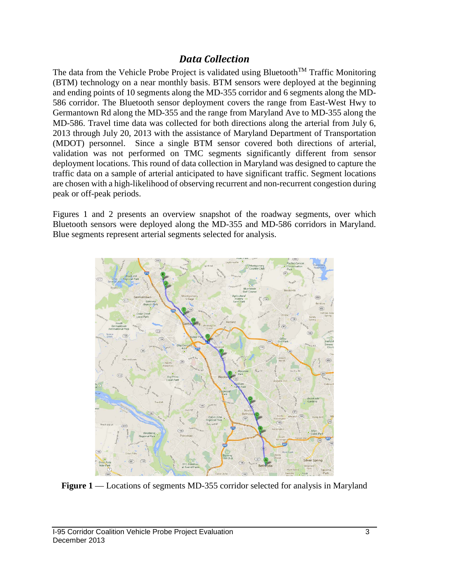#### *Data Collection*

The data from the Vehicle Probe Project is validated using Bluetooth<sup>TM</sup> Traffic Monitoring (BTM) technology on a near monthly basis. BTM sensors were deployed at the beginning and ending points of 10 segments along the MD-355 corridor and 6 segments along the MD-586 corridor. The Bluetooth sensor deployment covers the range from East-West Hwy to Germantown Rd along the MD-355 and the range from Maryland Ave to MD-355 along the MD-586. Travel time data was collected for both directions along the arterial from July 6, 2013 through July 20, 2013 with the assistance of Maryland Department of Transportation (MDOT) personnel. Since a single BTM sensor covered both directions of arterial, validation was not performed on TMC segments significantly different from sensor deployment locations. This round of data collection in Maryland was designed to capture the traffic data on a sample of arterial anticipated to have significant traffic. Segment locations are chosen with a high-likelihood of observing recurrent and non-recurrent congestion during peak or off-peak periods.

Figures 1 and 2 presents an overview snapshot of the roadway segments, over which Bluetooth sensors were deployed along the MD-355 and MD-586 corridors in Maryland. Blue segments represent arterial segments selected for analysis.



**Figure 1** — Locations of segments MD-355 corridor selected for analysis in Maryland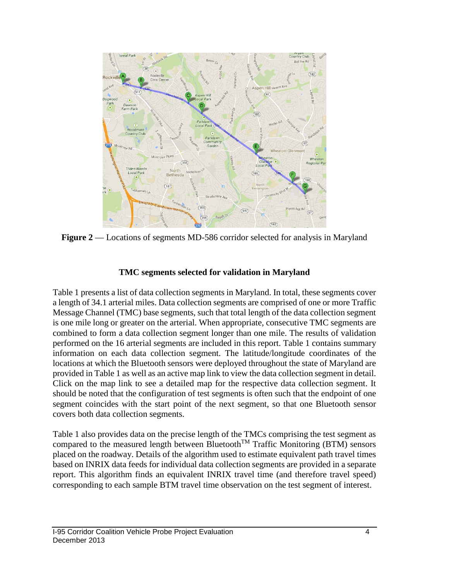

**Figure 2** — Locations of segments MD-586 corridor selected for analysis in Maryland

#### **TMC segments selected for validation in Maryland**

Table 1 presents a list of data collection segments in Maryland. In total, these segments cover a length of 34.1 arterial miles. Data collection segments are comprised of one or more Traffic Message Channel (TMC) base segments, such that total length of the data collection segment is one mile long or greater on the arterial. When appropriate, consecutive TMC segments are combined to form a data collection segment longer than one mile. The results of validation performed on the 16 arterial segments are included in this report. Table 1 contains summary information on each data collection segment. The latitude/longitude coordinates of the locations at which the Bluetooth sensors were deployed throughout the state of Maryland are provided in Table 1 as well as an active map link to view the data collection segment in detail. Click on the map link to see a detailed map for the respective data collection segment. It should be noted that the configuration of test segments is often such that the endpoint of one segment coincides with the start point of the next segment, so that one Bluetooth sensor covers both data collection segments.

Table 1 also provides data on the precise length of the TMCs comprising the test segment as compared to the measured length between Bluetooth<sup>TM</sup> Traffic Monitoring (BTM) sensors placed on the roadway. Details of the algorithm used to estimate equivalent path travel times based on INRIX data feeds for individual data collection segments are provided in a separate report. This algorithm finds an equivalent INRIX travel time (and therefore travel speed) corresponding to each sample BTM travel time observation on the test segment of interest.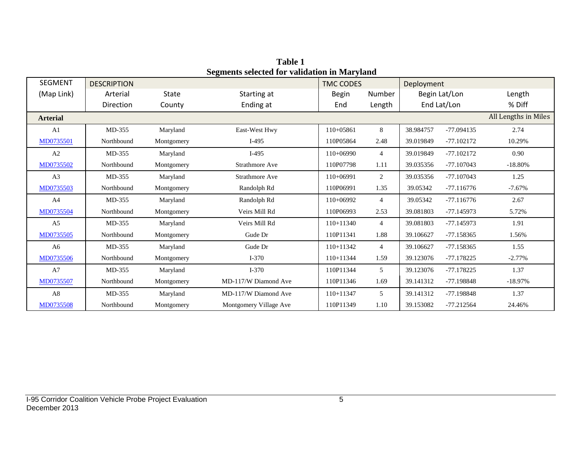| <b>SEGMENT</b>  | <b>DESCRIPTION</b> |              | -                      | <b>TMC CODES</b> |                | Deployment  |               |                      |
|-----------------|--------------------|--------------|------------------------|------------------|----------------|-------------|---------------|----------------------|
| (Map Link)      | Arterial           | <b>State</b> | Starting at            | <b>Begin</b>     | Number         |             | Begin Lat/Lon | Length               |
|                 | Direction          | County       | Ending at              | End              | Length         | End Lat/Lon |               | % Diff               |
| <b>Arterial</b> |                    |              |                        |                  |                |             |               | All Lengths in Miles |
| A <sub>1</sub>  | $MD-355$           | Maryland     | East-West Hwy          | $110+05861$      | 8              | 38.984757   | $-77.094135$  | 2.74                 |
| MD0735501       | Northbound         | Montgomery   | $I-495$                | 110P05864        | 2.48           | 39.019849   | $-77.102172$  | 10.29%               |
| A2              | MD-355             | Maryland     | $I-495$                | $110+06990$      | $\overline{4}$ | 39.019849   | $-77.102172$  | 0.90                 |
| MD0735502       | Northbound         | Montgomery   | <b>Strathmore Ave</b>  | 110P07798        | 1.11           | 39.035356   | $-77.107043$  | $-18.80\%$           |
| A <sub>3</sub>  | $MD-355$           | Maryland     | <b>Strathmore Ave</b>  | $110+06991$      | $\overline{2}$ | 39.035356   | $-77.107043$  | 1.25                 |
| MD0735503       | Northbound         | Montgomery   | Randolph Rd            | 110P06991        | 1.35           | 39.05342    | $-77.116776$  | $-7.67%$             |
| A <sup>4</sup>  | MD-355             | Maryland     | Randolph Rd            | $110+06992$      | $\overline{4}$ | 39.05342    | $-77.116776$  | 2.67                 |
| MD0735504       | Northbound         | Montgomery   | Veirs Mill Rd          | 110P06993        | 2.53           | 39.081803   | $-77.145973$  | 5.72%                |
| A <sub>5</sub>  | $MD-355$           | Maryland     | Veirs Mill Rd          | $110+11340$      | $\overline{4}$ | 39.081803   | $-77.145973$  | 1.91                 |
| MD0735505       | Northbound         | Montgomery   | Gude Dr                | 110P11341        | 1.88           | 39.106627   | -77.158365    | 1.56%                |
| A6              | MD-355             | Maryland     | Gude Dr                | $110+11342$      | 4              | 39.106627   | $-77.158365$  | 1.55                 |
| MD0735506       | Northbound         | Montgomery   | $I-370$                | $110+11344$      | 1.59           | 39.123076   | $-77.178225$  | $-2.77%$             |
| A7              | MD-355             | Maryland     | $I-370$                | 110P11344        | 5              | 39.123076   | $-77.178225$  | 1.37                 |
| MD0735507       | Northbound         | Montgomery   | MD-117/W Diamond Ave   | 110P11346        | 1.69           | 39.141312   | -77.198848    | $-18.97%$            |
| A8              | $MD-355$           | Maryland     | MD-117/W Diamond Ave   | $110+11347$      | 5              | 39.141312   | -77.198848    | 1.37                 |
| MD0735508       | Northbound         | Montgomery   | Montgomery Village Ave | 110P11349        | 1.10           | 39.153082   | $-77.212564$  | 24.46%               |

**Table 1 Segments selected for validation in Maryland**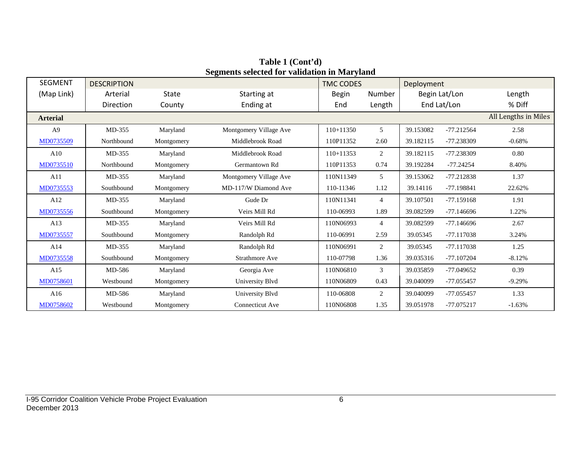| <b>SEGMENT</b>  | <b>DESCRIPTION</b> |              |                        | <b>TMC CODES</b> |                | Deployment  |               |                      |
|-----------------|--------------------|--------------|------------------------|------------------|----------------|-------------|---------------|----------------------|
| (Map Link)      | Arterial           | <b>State</b> | Starting at            | <b>Begin</b>     | Number         |             | Begin Lat/Lon | Length               |
|                 | Direction          | County       | Ending at              | End              | Length         | End Lat/Lon |               | % Diff               |
| <b>Arterial</b> |                    |              |                        |                  |                |             |               | All Lengths in Miles |
| A <sub>9</sub>  | MD-355             | Maryland     | Montgomery Village Ave | $110+11350$      | 5              | 39.153082   | $-77.212564$  | 2.58                 |
| MD0735509       | Northbound         | Montgomery   | Middlebrook Road       | 110P11352        | 2.60           | 39.182115   | -77.238309    | $-0.68%$             |
| A10             | MD-355             | Maryland     | Middlebrook Road       | $110+11353$      | 2              | 39.182115   | -77.238309    | 0.80                 |
| MD0735510       | Northbound         | Montgomery   | Germantown Rd          | 110P11353        | 0.74           | 39.192284   | $-77.24254$   | 8.40%                |
| A11             | MD-355             | Maryland     | Montgomery Village Ave | 110N11349        | 5              | 39.153062   | $-77.212838$  | 1.37                 |
| MD0735553       | Southbound         | Montgomery   | MD-117/W Diamond Ave   | 110-11346        | 1.12           | 39.14116    | $-77.198841$  | 22.62%               |
| A12             | MD-355             | Maryland     | Gude Dr                | 110N11341        | $\overline{4}$ | 39.107501   | $-77.159168$  | 1.91                 |
| MD0735556       | Southbound         | Montgomery   | Veirs Mill Rd          | 110-06993        | 1.89           | 39.082599   | $-77.146696$  | 1.22%                |
| A13             | MD-355             | Maryland     | Veirs Mill Rd          | 110N06993        | $\overline{4}$ | 39.082599   | $-77.146696$  | 2.67                 |
| MD0735557       | Southbound         | Montgomery   | Randolph Rd            | 110-06991        | 2.59           | 39.05345    | $-77.117038$  | 3.24%                |
| A14             | MD-355             | Maryland     | Randolph Rd            | 110N06991        | 2              | 39.05345    | $-77.117038$  | 1.25                 |
| MD0735558       | Southbound         | Montgomery   | Strathmore Ave         | 110-07798        | 1.36           | 39.035316   | $-77.107204$  | $-8.12%$             |
| A15             | MD-586             | Maryland     | Georgia Ave            | 110N06810        | 3              | 39.035859   | $-77.049652$  | 0.39                 |
| MD0758601       | Westbound          | Montgomery   | University Blvd        | 110N06809        | 0.43           | 39.040099   | $-77.055457$  | $-9.29%$             |
| A16             | MD-586             | Maryland     | University Blvd        | 110-06808        | $\overline{2}$ | 39.040099   | $-77.055457$  | 1.33                 |
| MD0758602       | Westbound          | Montgomery   | Connecticut Ave        | 110N06808        | 1.35           | 39.051978   | -77.075217    | $-1.63%$             |

**Table 1 (Cont'd) Segments selected for validation in Maryland**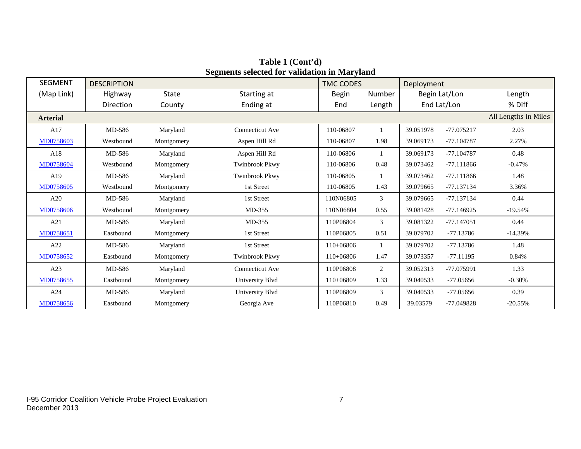| <b>SEGMENT</b>  | <b>DESCRIPTION</b> |              |                       | <b>TMC CODES</b> |                | Deployment  |               |                      |
|-----------------|--------------------|--------------|-----------------------|------------------|----------------|-------------|---------------|----------------------|
| (Map Link)      | Highway            | <b>State</b> | Starting at           | <b>Begin</b>     | Number         |             | Begin Lat/Lon | Length               |
|                 | Direction          | County       | Ending at             | End              | Length         | End Lat/Lon |               | % Diff               |
| <b>Arterial</b> |                    |              |                       |                  |                |             |               | All Lengths in Miles |
| A17             | MD-586             | Maryland     | Connecticut Ave       | 110-06807        |                | 39.051978   | -77.075217    | 2.03                 |
| MD0758603       | Westbound          | Montgomery   | Aspen Hill Rd         | 110-06807        | 1.98           | 39.069173   | $-77.104787$  | 2.27%                |
| A18             | MD-586             | Maryland     | Aspen Hill Rd         | 110-06806        |                | 39.069173   | $-77.104787$  | 0.48                 |
| MD0758604       | Westbound          | Montgomery   | Twinbrook Pkwy        | 110-06806        | 0.48           | 39.073462   | $-77.111866$  | $-0.47%$             |
| A19             | MD-586             | Maryland     | <b>Twinbrook Pkwy</b> | 110-06805        | $\mathbf{1}$   | 39.073462   | $-77.111866$  | 1.48                 |
| MD0758605       | Westbound          | Montgomery   | 1st Street            | 110-06805        | 1.43           | 39.079665   | -77.137134    | 3.36%                |
| A20             | MD-586             | Maryland     | 1st Street            | 110N06805        | 3              | 39.079665   | -77.137134    | 0.44                 |
| MD0758606       | Westbound          | Montgomery   | MD-355                | 110N06804        | 0.55           | 39.081428   | $-77.146925$  | $-19.54%$            |
| A21             | MD-586             | Maryland     | $MD-355$              | 110P06804        | 3              | 39.081322   | $-77.147051$  | 0.44                 |
| MD0758651       | Eastbound          | Montgomery   | 1st Street            | 110P06805        | 0.51           | 39.079702   | $-77.13786$   | $-14.39%$            |
| A22             | MD-586             | Maryland     | 1st Street            | $110+06806$      | $\mathbf{1}$   | 39.079702   | $-77.13786$   | 1.48                 |
| MD0758652       | Eastbound          | Montgomery   | <b>Twinbrook Pkwy</b> | 110+06806        | 1.47           | 39.073357   | $-77.11195$   | 0.84%                |
| A23             | MD-586             | Maryland     | Connecticut Ave       | 110P06808        | $\overline{2}$ | 39.052313   | -77.075991    | 1.33                 |
| MD0758655       | Eastbound          | Montgomery   | University Blvd       | 110+06809        | 1.33           | 39.040533   | $-77.05656$   | $-0.30%$             |
| A24             | MD-586             | Maryland     | University Blvd       | 110P06809        | 3              | 39.040533   | $-77.05656$   | 0.39                 |
| MD0758656       | Eastbound          | Montgomery   | Georgia Ave           | 110P06810        | 0.49           | 39.03579    | $-77.049828$  | $-20.55%$            |

**Table 1 (Cont'd) Segments selected for validation in Maryland**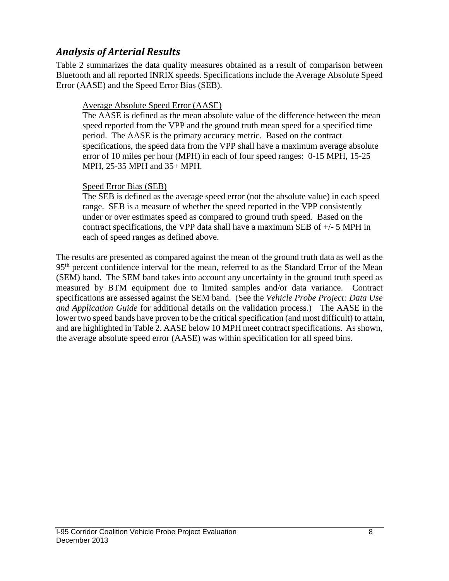#### *Analysis of Arterial Results*

Table 2 summarizes the data quality measures obtained as a result of comparison between Bluetooth and all reported INRIX speeds. Specifications include the Average Absolute Speed Error (AASE) and the Speed Error Bias (SEB).

#### Average Absolute Speed Error (AASE)

The AASE is defined as the mean absolute value of the difference between the mean speed reported from the VPP and the ground truth mean speed for a specified time period. The AASE is the primary accuracy metric. Based on the contract specifications, the speed data from the VPP shall have a maximum average absolute error of 10 miles per hour (MPH) in each of four speed ranges: 0-15 MPH, 15-25 MPH, 25-35 MPH and 35+ MPH.

#### Speed Error Bias (SEB)

The SEB is defined as the average speed error (not the absolute value) in each speed range. SEB is a measure of whether the speed reported in the VPP consistently under or over estimates speed as compared to ground truth speed. Based on the contract specifications, the VPP data shall have a maximum SEB of  $+/-$  5 MPH in each of speed ranges as defined above.

The results are presented as compared against the mean of the ground truth data as well as the 95<sup>th</sup> percent confidence interval for the mean, referred to as the Standard Error of the Mean (SEM) band. The SEM band takes into account any uncertainty in the ground truth speed as measured by BTM equipment due to limited samples and/or data variance. Contract specifications are assessed against the SEM band. (See the *Vehicle Probe Project: Data Use and Application Guide* for additional details on the validation process.) The AASE in the lower two speed bands have proven to be the critical specification (and most difficult) to attain, and are highlighted in Table 2. AASE below 10 MPH meet contract specifications. As shown, the average absolute speed error (AASE) was within specification for all speed bins.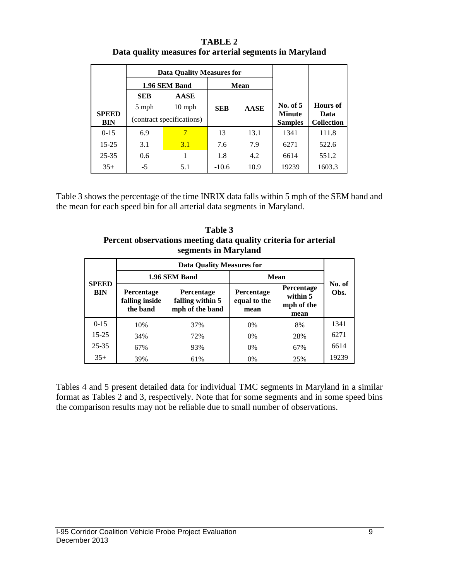| <b>TABLE 2</b>                                          |
|---------------------------------------------------------|
| Data quality measures for arterial segments in Maryland |

|              |                           | <b>Data Quality Measures for</b> |            |             |                             |                         |
|--------------|---------------------------|----------------------------------|------------|-------------|-----------------------------|-------------------------|
|              |                           | 1.96 SEM Band                    |            | Mean        |                             |                         |
|              | <b>SEB</b>                | <b>AASE</b>                      |            |             |                             |                         |
| <b>SPEED</b> | 5 mph                     | $10$ mph                         | <b>SEB</b> | <b>AASE</b> | No. of $5$<br><b>Minute</b> | <b>Hours</b> of<br>Data |
| <b>BIN</b>   | (contract specifications) |                                  |            |             | <b>Samples</b>              | <b>Collection</b>       |
| $0 - 15$     | 6.9                       |                                  | 13         | 13.1        | 1341                        | 111.8                   |
| $15 - 25$    | 3.1                       | 3.1                              | 7.6        | 7.9         | 6271                        | 522.6                   |
| $25 - 35$    | 0.6                       |                                  | 1.8        | 4.2         | 6614                        | 551.2                   |
| $35+$        | -5                        | 5.1                              | $-10.6$    | 10.9        | 19239                       | 1603.3                  |

Table 3 shows the percentage of the time INRIX data falls within 5 mph of the SEM band and the mean for each speed bin for all arterial data segments in Maryland.

**Table 3 Percent observations meeting data quality criteria for arterial segments in Maryland**

|                            |                                                 | <b>Data Quality Measures for</b>                         |                                           |                                                     |                |  |
|----------------------------|-------------------------------------------------|----------------------------------------------------------|-------------------------------------------|-----------------------------------------------------|----------------|--|
|                            |                                                 | 1.96 SEM Band                                            |                                           | <b>Mean</b>                                         |                |  |
| <b>SPEED</b><br><b>BIN</b> | <b>Percentage</b><br>falling inside<br>the band | <b>Percentage</b><br>falling within 5<br>mph of the band | <b>Percentage</b><br>equal to the<br>mean | <b>Percentage</b><br>within 5<br>mph of the<br>mean | No. of<br>Obs. |  |
| $0 - 15$                   | 10%                                             | 37%                                                      | 0%                                        | 8%                                                  | 1341           |  |
| $15 - 25$                  | 34%                                             | 72%                                                      | 0%                                        | 28%                                                 | 6271           |  |
| $25 - 35$                  | 67%                                             | 93%                                                      | 0%                                        | 67%                                                 | 6614           |  |
| $35+$                      | 39%                                             | 61%                                                      | 0%                                        | 25%                                                 | 19239          |  |

Tables 4 and 5 present detailed data for individual TMC segments in Maryland in a similar format as Tables 2 and 3, respectively. Note that for some segments and in some speed bins the comparison results may not be reliable due to small number of observations.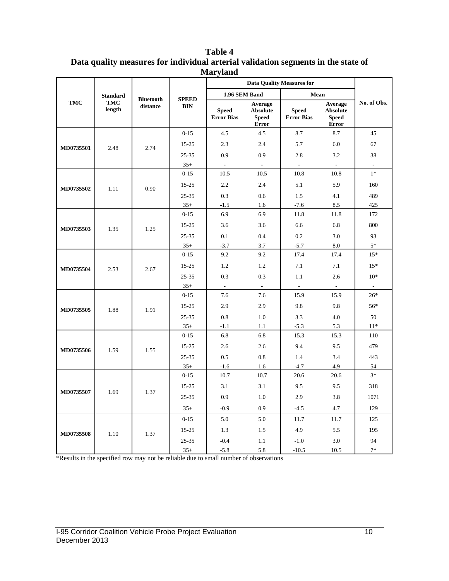|            | <b>Data Quality Measures for</b> |                              |                            |                                   |                                                            |                                   |                                                     |             |
|------------|----------------------------------|------------------------------|----------------------------|-----------------------------------|------------------------------------------------------------|-----------------------------------|-----------------------------------------------------|-------------|
|            | <b>Standard</b>                  |                              |                            | 1.96 SEM Band                     |                                                            | Mean                              |                                                     |             |
| <b>TMC</b> | <b>TMC</b><br>length             | <b>Bluetooth</b><br>distance | <b>SPEED</b><br><b>BIN</b> | <b>Speed</b><br><b>Error Bias</b> | Average<br><b>Absolute</b><br><b>Speed</b><br><b>Error</b> | <b>Speed</b><br><b>Error Bias</b> | Average<br><b>Absolute</b><br><b>Speed</b><br>Error | No. of Obs. |
|            |                                  |                              | $0 - 15$                   | 4.5                               | 4.5                                                        | $8.7\,$                           | 8.7                                                 | 45          |
| MD0735501  | 2.48                             | 2.74                         | 15-25                      | 2.3                               | 2.4                                                        | 5.7                               | 6.0                                                 | 67          |
|            |                                  |                              | 25-35                      | 0.9                               | 0.9                                                        | 2.8                               | 3.2                                                 | 38          |
|            |                                  |                              | $35+$                      | $\overline{\phantom{a}}$          | $\overline{\phantom{a}}$                                   | $\overline{\phantom{a}}$          | $\overline{\phantom{a}}$                            | $\Box$      |
|            |                                  |                              | $0 - 15$                   | 10.5                              | 10.5                                                       | 10.8                              | 10.8                                                | $1*$        |
| MD0735502  | 1.11                             | 0.90                         | $15 - 25$                  | 2.2                               | 2.4                                                        | 5.1                               | 5.9                                                 | 160         |
|            |                                  |                              | $25 - 35$                  | 0.3                               | 0.6                                                        | 1.5                               | 4.1                                                 | 489         |
|            |                                  |                              | $35+$                      | $-1.5$                            | 1.6                                                        | $-7.6$                            | 8.5                                                 | 425         |
|            |                                  |                              | $0 - 15$                   | 6.9                               | 6.9                                                        | 11.8                              | 11.8                                                | 172         |
| MD0735503  | 1.35                             | 1.25                         | 15-25                      | 3.6                               | 3.6                                                        | 6.6                               | 6.8                                                 | 800         |
|            |                                  |                              | 25-35                      | 0.1                               | 0.4                                                        | 0.2                               | 3.0                                                 | 93          |
|            |                                  |                              | $35+$                      | $-3.7$                            | 3.7                                                        | $-5.7$                            | 8.0                                                 | $5*$        |
|            |                                  |                              | $0 - 15$                   | 9.2                               | 9.2                                                        | 17.4                              | 17.4                                                | $15*$       |
|            | 2.53                             | 2.67                         | $15 - 25$                  | 1.2                               | 1.2                                                        | 7.1                               | 7.1                                                 | $15*$       |
| MD0735504  |                                  |                              | $25 - 35$                  | 0.3                               | 0.3                                                        | 1.1                               | 2.6                                                 | $10*$       |
|            |                                  |                              | $35+$                      | $\bar{\mathcal{L}}$               | $\sim$                                                     | $\bar{\phantom{a}}$               | $\bar{\phantom{a}}$                                 | $\omega$    |
|            |                                  | 1.91                         | $0 - 15$                   | 7.6                               | 7.6                                                        | 15.9                              | 15.9                                                | $26*$       |
| MD0735505  |                                  |                              | 15-25                      | 2.9                               | 2.9                                                        | 9.8                               | 9.8                                                 | 56*         |
|            | 1.88                             |                              | 25-35                      | 0.8                               | 1.0                                                        | 3.3                               | 4.0                                                 | 50          |
|            |                                  |                              | $35+$                      | $-1.1$                            | 1.1                                                        | $-5.3$                            | 5.3                                                 | $11*$       |
|            |                                  |                              | $0 - 15$                   | 6.8                               | 6.8                                                        | 15.3                              | 15.3                                                | 110         |
| MD0735506  | 1.59                             | 1.55                         | $15 - 25$                  | 2.6                               | 2.6                                                        | 9.4                               | 9.5                                                 | 479         |
|            |                                  |                              | 25-35                      | 0.5                               | 0.8                                                        | 1.4                               | 3.4                                                 | 443         |
|            |                                  |                              | $35+$                      | $-1.6$                            | 1.6                                                        | $-4.7$                            | 4.9                                                 | 54          |
|            |                                  |                              | $0 - 15$                   | 10.7                              | 10.7                                                       | 20.6                              | 20.6                                                | $3*$        |
|            |                                  |                              | $15 - 25$                  | 3.1                               | 3.1                                                        | 9.5                               | 9.5                                                 | 318         |
| MD0735507  | 1.69                             | 1.37                         | $25 - 35$                  | 0.9                               | 1.0                                                        | 2.9                               | 3.8                                                 | 1071        |
|            |                                  |                              | $35+$                      | $-0.9$                            | 0.9                                                        | $-4.5$                            | 4.7                                                 | 129         |
|            |                                  |                              | $0 - 15$                   | 5.0                               | 5.0                                                        | 11.7                              | 11.7                                                | 125         |
|            |                                  |                              | $15 - 25$                  | 1.3                               | 1.5                                                        | 4.9                               | 5.5                                                 | 195         |
| MD0735508  | 1.10                             | 1.37                         | $25 - 35$                  | $-0.4$                            | 1.1                                                        | $-1.0$                            | 3.0                                                 | 94          |
|            |                                  |                              | $35+$                      | $-5.8$                            | 5.8                                                        | $-10.5$                           | 10.5                                                | $7*$        |

**Table 4 Data quality measures for individual arterial validation segments in the state of Maryland**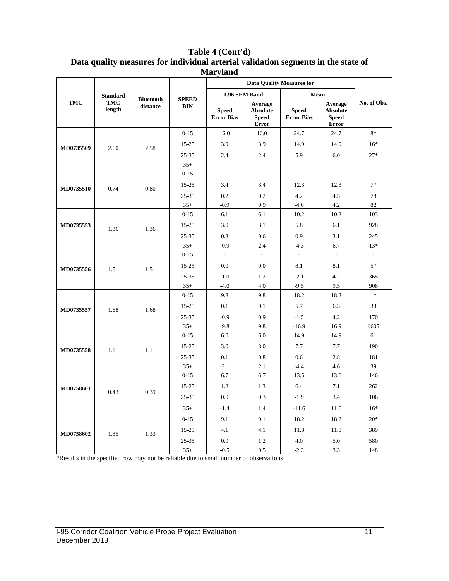|            | <b>Standard</b>      |                              |                            | 1.96 SEM Band                     |                                                            | Mean                              |                                                            |                          |
|------------|----------------------|------------------------------|----------------------------|-----------------------------------|------------------------------------------------------------|-----------------------------------|------------------------------------------------------------|--------------------------|
| <b>TMC</b> | <b>TMC</b><br>length | <b>Bluetooth</b><br>distance | <b>SPEED</b><br><b>BIN</b> | <b>Speed</b><br><b>Error Bias</b> | Average<br><b>Absolute</b><br><b>Speed</b><br><b>Error</b> | <b>Speed</b><br><b>Error Bias</b> | Average<br><b>Absolute</b><br><b>Speed</b><br><b>Error</b> | No. of Obs.              |
|            |                      |                              | $0 - 15$                   | 16.0                              | 16.0                                                       | 24.7                              | 24.7                                                       | $8*$                     |
| MD0735509  |                      | 2.58                         | $15 - 25$                  | 3.9                               | 3.9                                                        | 14.9                              | 14.9                                                       | $16*$                    |
|            | 2.60                 |                              | $25 - 35$                  | 2.4                               | 2.4                                                        | 5.9                               | 6.0                                                        | $27*$                    |
|            |                      |                              | $35+$                      | $\overline{a}$                    |                                                            | $\overline{a}$                    |                                                            |                          |
|            |                      |                              | $0 - 15$                   | $\overline{a}$                    | $\mathbf{r}$                                               | $\frac{1}{2}$                     | L.                                                         | $\overline{\phantom{a}}$ |
|            |                      |                              | $15 - 25$                  | 3.4                               | 3.4                                                        | 12.3                              | 12.3                                                       | $7*$                     |
| MD0735510  | 0.74                 | 0.80                         | $25 - 35$                  | 0.2                               | 0.2                                                        | 4.2                               | 4.5                                                        | 78                       |
|            |                      |                              | $35+$                      | $-0.9$                            | 0.9                                                        | $-4.0$                            | 4.2                                                        | 82                       |
|            |                      |                              | $0 - 15$                   | 6.1                               | 6.1                                                        | 10.2                              | 10.2                                                       | 103                      |
| MD0735553  |                      | 1.36                         | $15 - 25$                  | 3.0                               | 3.1                                                        | 5.8                               | 6.1                                                        | 928                      |
| 1.36       |                      |                              | $25 - 35$                  | 0.3                               | 0.6                                                        | 0.9                               | 3.1                                                        | 245                      |
|            |                      |                              | $35+$                      | $-0.9$                            | 2.4                                                        | $-4.3$                            | 6.7                                                        | $13*$                    |
|            |                      |                              | $0 - 15$                   | $\overline{a}$                    |                                                            | $\overline{a}$                    | $\mathbb{L}$                                               | $\bar{\phantom{a}}$      |
|            |                      |                              | $15 - 25$                  | 0.0                               | 0.0                                                        | 8.1                               | 8.1                                                        | $5*$                     |
| MD0735556  | 1.51                 | 1.51                         | 25-35                      | $-1.0$                            | 1.2                                                        | $-2.1$                            | 4.2                                                        | 365                      |
|            |                      |                              | $35+$                      | $-4.0$                            | 4.0                                                        | $-9.5$                            | 9.5                                                        | 908                      |
|            |                      |                              | $0 - 15$                   | 9.8                               | 9.8                                                        | 18.2                              | 18.2                                                       | $1*$                     |
| MD0735557  | 1.68                 | 1.68                         | $15 - 25$                  | 0.1                               | 0.1                                                        | 5.7                               | 6.3                                                        | 33                       |
|            |                      |                              | $25 - 35$                  | $-0.9$                            | 0.9                                                        | $-1.5$                            | 4.3                                                        | 170                      |
|            |                      |                              | $35+$                      | $-9.8$                            | 9.8                                                        | $-16.9$                           | 16.9                                                       | 1605                     |
|            |                      |                              | $0 - 15$                   | 6.0                               | 6.0                                                        | 14.9                              | 14.9                                                       | 61                       |
| MD0735558  | 1.11                 | 1.11                         | $15 - 25$                  | 3.0                               | 3.0                                                        | 7.7                               | 7.7                                                        | 190                      |
|            |                      |                              | 25-35                      | 0.1                               | 0.8                                                        | 0.6                               | 2.8                                                        | 181                      |
|            |                      |                              | $35+$                      | $-2.1$                            | 2.1                                                        | $-4.4$                            | 4.6                                                        | 39                       |
|            |                      |                              | $0 - 15$                   | 6.7                               | 6.7                                                        | 13.5                              | 13.6                                                       | 146                      |
| MD0758601  |                      |                              | $15 - 25$                  | 1.2                               | 1.3                                                        | 6.4                               | 7.1                                                        | 262                      |
|            | 0.43                 | 0.39                         | 25-35                      | 0.0                               | 0.3                                                        | $-1.9$                            | 3.4                                                        | 106                      |
|            |                      |                              | $35+$                      | $-1.4$                            | 1.4                                                        | $-11.6$                           | 11.6                                                       | $16*$                    |
|            |                      |                              | $0 - 15$                   | 9.1                               | 9.1                                                        | 18.2                              | 18.2                                                       | $20*$                    |
|            |                      |                              | $15 - 25$                  | 4.1                               | 4.1                                                        | 11.8                              | 11.8                                                       | 389                      |
| MD0758602  | 1.35                 | 1.33                         | 25-35                      | 0.9                               | 1.2                                                        | 4.0                               | 5.0                                                        | 580                      |
|            |                      |                              | $35+$                      | $-0.5$                            | 0.5                                                        | $-2.3$                            | 3.3                                                        | 148                      |

#### **Table 4 (Cont'd) Data quality measures for individual arterial validation segments in the state of Maryland**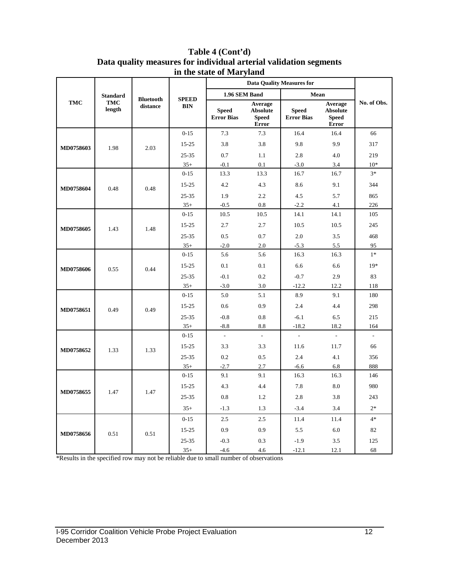|           |                      |                              |                            |                                   | <b>Data Quality Measures for</b>                    |                                   |                                                            |                          |
|-----------|----------------------|------------------------------|----------------------------|-----------------------------------|-----------------------------------------------------|-----------------------------------|------------------------------------------------------------|--------------------------|
|           | <b>Standard</b>      |                              |                            | 1.96 SEM Band                     |                                                     | Mean                              |                                                            |                          |
| TMC       | <b>TMC</b><br>length | <b>Bluetooth</b><br>distance | <b>SPEED</b><br><b>BIN</b> | <b>Speed</b><br><b>Error Bias</b> | Average<br><b>Absolute</b><br><b>Speed</b><br>Error | <b>Speed</b><br><b>Error Bias</b> | Average<br><b>Absolute</b><br><b>Speed</b><br><b>Error</b> | No. of Obs.              |
|           |                      |                              | $0 - 15$                   | 7.3                               | 7.3                                                 | 16.4                              | 16.4                                                       | 66                       |
| MD0758603 | 1.98                 | 2.03                         | 15-25                      | 3.8                               | 3.8                                                 | 9.8                               | 9.9                                                        | 317                      |
|           |                      |                              | $25 - 35$                  | 0.7                               | 1.1                                                 | 2.8                               | 4.0                                                        | 219                      |
|           |                      |                              | $35+$                      | $-0.1$                            | 0.1                                                 | $-3.0$                            | 3.4                                                        | $10*$                    |
|           |                      |                              | $0 - 15$                   | 13.3                              | 13.3                                                | 16.7                              | 16.7                                                       | $3*$                     |
|           |                      |                              | 15-25                      | 4.2                               | 4.3                                                 | 8.6                               | 9.1                                                        | 344                      |
| MD0758604 | 0.48                 | 0.48                         | $25 - 35$                  | 1.9                               | 2.2                                                 | 4.5                               | 5.7                                                        | 865                      |
|           |                      |                              | $35+$                      | $-0.5$                            | 0.8                                                 | $-2.2$                            | 4.1                                                        | 226                      |
|           |                      |                              | $0 - 15$                   | 10.5                              | 10.5                                                | 14.1                              | 14.1                                                       | 105                      |
| MD0758605 |                      | 1.48                         | 15-25                      | 2.7                               | 2.7                                                 | 10.5                              | 10.5                                                       | 245                      |
| 1.43      |                      |                              | 25-35                      | 0.5                               | 0.7                                                 | $2.0\,$                           | 3.5                                                        | 468                      |
|           |                      |                              | $35+$                      | $-2.0$                            | 2.0                                                 | $-5.3$                            | 5.5                                                        | 95                       |
| MD0758606 |                      |                              | $0 - 15$                   | 5.6                               | 5.6                                                 | 16.3                              | 16.3                                                       | $1*$                     |
|           | 0.55                 | 0.44                         | 15-25                      | 0.1                               | 0.1                                                 | 6.6                               | 6.6                                                        | $19*$                    |
|           |                      |                              | $25 - 35$                  | $-0.1$                            | 0.2                                                 | $-0.7$                            | 2.9                                                        | 83                       |
|           |                      |                              | $35+$                      | $-3.0$                            | 3.0                                                 | $-12.2$                           | 12.2                                                       | 118                      |
|           |                      | 0.49                         | $0 - 15$                   | 5.0                               | 5.1                                                 | 8.9                               | 9.1                                                        | 180                      |
| MD0758651 | 0.49                 |                              | 15-25                      | 0.6                               | 0.9                                                 | 2.4                               | 4.4                                                        | 298                      |
|           |                      |                              | $25 - 35$                  | $-0.8$                            | 0.8                                                 | $-6.1$                            | 6.5                                                        | 215                      |
|           |                      |                              | $35+$                      | $-8.8$                            | 8.8                                                 | $-18.2$                           | 18.2                                                       | 164                      |
|           |                      |                              | $0 - 15$                   | $\overline{\phantom{a}}$          | $\overline{\phantom{a}}$                            | $\frac{1}{2}$                     |                                                            | $\overline{\phantom{a}}$ |
| MD0758652 | 1.33                 | 1.33                         | 15-25                      | 3.3                               | 3.3                                                 | 11.6                              | 11.7                                                       | 66                       |
|           |                      |                              | $25 - 35$                  | 0.2                               | 0.5                                                 | 2.4                               | 4.1                                                        | 356                      |
|           |                      |                              | $35+$                      | $-2.7$                            | 2.7                                                 | $-6.6$                            | 6.8                                                        | 888                      |
|           |                      |                              | $0 - 15$                   | 9.1                               | 9.1                                                 | 16.3                              | 16.3                                                       | 146                      |
|           |                      |                              | 15-25                      | 4.3                               | 4.4                                                 | 7.8                               | 8.0                                                        | 980                      |
| MD0758655 | 1.47                 | 1.47                         | $25 - 35$                  | 0.8                               | 1.2                                                 | 2.8                               | 3.8                                                        | 243                      |
|           |                      |                              | $35+$                      | $-1.3$                            | 1.3                                                 | $-3.4$                            | 3.4                                                        | $2*$                     |
|           |                      |                              | $0 - 15$                   | 2.5                               | 2.5                                                 | 11.4                              | 11.4                                                       | $4*$                     |
|           | 0.51                 | 0.51                         | 15-25                      | 0.9                               | 0.9                                                 | 5.5                               | 6.0                                                        | 82                       |
| MD0758656 |                      |                              | 25-35                      | $-0.3$                            | 0.3                                                 | $-1.9$                            | 3.5                                                        | 125                      |
|           |                      |                              | $35+$                      | $-4.6$                            | 4.6                                                 | $-12.1$                           | 12.1                                                       | 68                       |

#### **Table 4 (Cont'd) Data quality measures for individual arterial validation segments in the state of Maryland**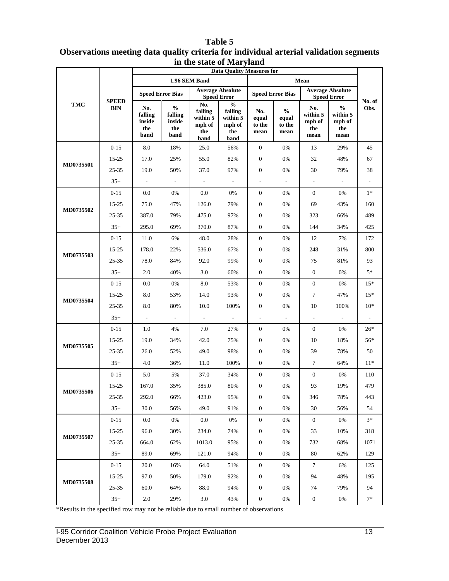#### **TMC SPEED BIN Data Quality Measures for No. of Obs. 1.96 SEM Band Mean Speed Error Bias Average Absolute Speed Error Speed Error Speed Error Bias Average Absolute Speed Error No. falling inside the band % falling inside the band No. falling within 5 mph of the band % falling within 5 mph of the band No. equal to the mean % equal to the mean No. within 5 mph of the mean % within 5 mph of the mean MD0735501**  0-15 8.0 18% 25.0 56% 0 0% 13 29% 45 15-25 17.0 25% 55.0 82% 0 0% 32 48% 67 25-35 19.0 50% 37.0 97% 0 0% 30 79% 38 35+ - - - - - - - - - **MD0735502**  $0.15$  0.0 0% 0.0 0% 0 0% 0 0% 1\* 15-25 75.0 47% 126.0 79% 0 0% 69 43% 160 25-35 387.0 79% 475.0 97% 0 0% 323 66% 489 35+ 295.0 69% 370.0 87% 0 0% 144 34% 425 **MD0735503** 0-15 11.0 6% 48.0 28% 0 0% 12 7% 172 15-25 178.0 22% 536.0 67% 0 0% 248 31% 800 25-35 78.0 84% 92.0 99% 0 0% 75 81% 93  $35+$  2.0 40% 3.0 60% 0 0% 0 0% 5\* **MD0735504**  $0-15$  0.0 0% 8.0 53% 0 0% 0% 15\* 15-25 8.0 53% 14.0 93% 0 0% 7 47% 15\* 25-35 8.0 80% 10.0 100% 0 0% 10 100% 10<sup>\*</sup> 35+ - - - - - - - - - **MD0735505**  $0-15$  1.0 4% 7.0 27% 0 0% 0 0% 26\* 15-25 19.0 34% 42.0 75% 0 0% 10 18% 56\* 25-35 26.0 52% 49.0 98% 0 0% 39 78% 50 35+ 4.0 36% 11.0 100% 0 0% 7 64% 11<sup>\*</sup> **MD0735506** 0-15 5.0 5% 37.0 34% 0 0% 0 0% 110 15-25 167.0 35% 385.0 80% 0 0% 93 19% 479 25-35 292.0 66% 423.0 95% 0 0% 346 78% 443 35+ 30.0 56% 49.0 91% 0 0% 30 56% 54 **MD0735507**  $0.15$  0.0 0% 0.0 0% 0 0% 0 0% 3\* 15-25 96.0 30% 234.0 74% 0 0% 33 10% 318 25-35 664.0 62% 1013.0 95% 0 0% 732 68% 1071 35+ 89.0 69% 121.0 94% 0 0% 80 62% 129 **MD0735508** 0-15 20.0 16% 64.0 51% 0 0% 7 6% 125 15-25 97.0 50% 179.0 92% 0 0% 94 48% 195 25-35 60.0 64% 88.0 94% 0 0% 74 79% 94 35+ 2.0 29% 3.0 43% 0 0% 0 0% 7\*

#### **Table 5 Observations meeting data quality criteria for individual arterial validation segments in the state of Maryland**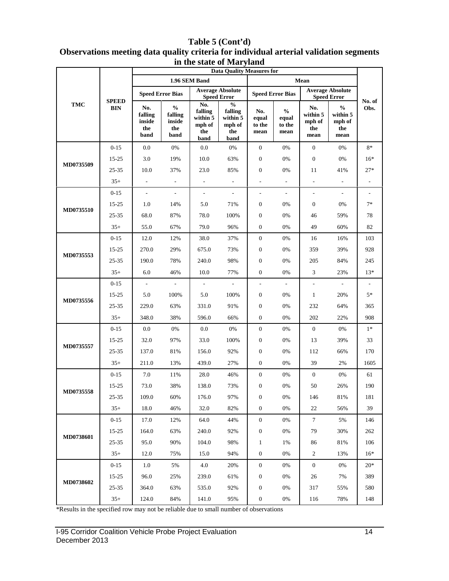#### **TMC SPEED BIN Data Quality Measures for No. of Obs. 1.96 SEM Band Mean Speed Error Bias Average Absolute Speed Error Speed Error Speed Error Bias Average Absolute Speed Error No. falling inside the band % falling inside the band No. falling within 5 mph of the band % falling within 5 mph of the band No. equal to the mean % equal to the mean No. within 5 mph of the mean % within 5 mph of the mean MD0735509**   $0-15$  0.0 0% 0.0 0% 0 0% 0 0% 8\* 15-25 3.0 19% 10.0 63% 0 0% 0 0% 16\* 25-35 10.0 37% 23.0 85% 0 0% 11 41% 27\* 35+ - - - - - - - - - **MD0735510** 0-15 - - - - - - - - - 15-25 1.0 14% 5.0 71% 0 0% 0 0% 7\* 25-35 68.0 87% 78.0 100% 0 0% 46 59% 78 35+ 55.0 67% 79.0 96% 0 0% 49 60% 82 **MD0735553** 0-15 | 12.0 12% | 38.0 37% | 0 0% | 16 16% | 103 15-25 270.0 29% 675.0 73% 0 0% 359 39% 928 25-35 190.0 78% 240.0 98% 0 0% 205 84% 245 35+ 6.0 46% 10.0 77% 0 0% 3 23% 13\* **MD0735556** 0-15 - - - - - - - - - 15-25 5.0 100% 5.0 100% 0 0% 1 20% 5\* 25-35 229.0 63% 331.0 91% 0 0% 232 64% 365 35+ 348.0 38% 596.0 66% 0 0% 202 22% 908 **MD0735557**  $0.15$  0.0 0% 0.0 0% 0 0% 0 0% 1\* 15-25 32.0 97% 33.0 100% 0 0% 13 39% 33 25-35 137.0 81% 156.0 92% 0 0% 112 66% 170 35+ 211.0 13% 439.0 27% 0 0% 39 2% 1605 **MD0735558** 0-15 7.0 11% 28.0 46% 0 0% 0 0% 61 15-25 73.0 38% 138.0 73% 0 0% 50 26% 190 25-35 109.0 60% 176.0 97% 0 0% 146 81% 181 35+ 18.0 46% 32.0 82% 0 0% 22 56% 39 **MD0738601** 0-15 17.0 12% 64.0 44% 0 0% 7 5% 146 15-25 164.0 63% 240.0 92% 0 0% 79 30% 262 25-35 95.0 90% 104.0 98% 1 1% 86 81% 106 35+ 12.0 75% 15.0 94% 0 0% 2 13% 16\* **MD0738602**  $0-15$  1.0 5% 4.0 20% 0 0% 0 0% 20\* 15-25 96.0 25% 239.0 61% 0 0% 26 7% 389 25-35 364.0 63% 535.0 92% 0 0% 317 55% 580 35+ 124.0 84% 141.0 95% 0 0% 116 78% 148

#### **Table 5 (Cont'd) Observations meeting data quality criteria for individual arterial validation segments in the state of Maryland**